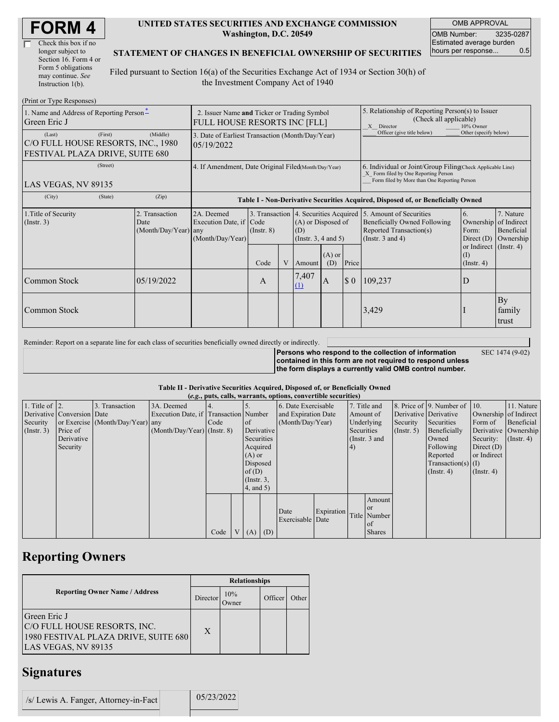| Check this box if no  |
|-----------------------|
| longer subject to     |
| Section 16. Form 4 or |
| Form 5 obligations    |
| may continue. See     |
| Instruction 1(b).     |

#### **UNITED STATES SECURITIES AND EXCHANGE COMMISSION Washington, D.C. 20549**

OMB APPROVAL OMB Number: 3235-0287 Estimated average burden hours per response... 0.5

### **STATEMENT OF CHANGES IN BENEFICIAL OWNERSHIP OF SECURITIES**

Filed pursuant to Section 16(a) of the Securities Exchange Act of 1934 or Section 30(h) of the Investment Company Act of 1940

| (Print or Type Responses)                                                                  |                                                                 |                                                  |                                                                                  |                 |   |                                                                                                                                                    |                       |                                                                                                       |                                                                                                                                                   |                                                      |                                      |
|--------------------------------------------------------------------------------------------|-----------------------------------------------------------------|--------------------------------------------------|----------------------------------------------------------------------------------|-----------------|---|----------------------------------------------------------------------------------------------------------------------------------------------------|-----------------------|-------------------------------------------------------------------------------------------------------|---------------------------------------------------------------------------------------------------------------------------------------------------|------------------------------------------------------|--------------------------------------|
| 1. Name and Address of Reporting Person-<br>Green Eric J                                   |                                                                 |                                                  | 2. Issuer Name and Ticker or Trading Symbol<br>FULL HOUSE RESORTS INC [FLL]      |                 |   |                                                                                                                                                    |                       | 5. Relationship of Reporting Person(s) to Issuer<br>(Check all applicable)<br>X Director<br>10% Owner |                                                                                                                                                   |                                                      |                                      |
| (First)<br>(Last)<br>C/O FULL HOUSE RESORTS, INC., 1980<br>FESTIVAL PLAZA DRIVE, SUITE 680 | 3. Date of Earliest Transaction (Month/Day/Year)<br>105/19/2022 |                                                  |                                                                                  |                 |   | Officer (give title below)                                                                                                                         | Other (specify below) |                                                                                                       |                                                                                                                                                   |                                                      |                                      |
| (Street)<br>LAS VEGAS, NV 89135                                                            | 4. If Amendment, Date Original Filed(Month/Day/Year)            |                                                  |                                                                                  |                 |   | 6. Individual or Joint/Group Filing Check Applicable Line)<br>X Form filed by One Reporting Person<br>Form filed by More than One Reporting Person |                       |                                                                                                       |                                                                                                                                                   |                                                      |                                      |
| (City)                                                                                     | (State)                                                         | (Zip)                                            | Table I - Non-Derivative Securities Acquired, Disposed of, or Beneficially Owned |                 |   |                                                                                                                                                    |                       |                                                                                                       |                                                                                                                                                   |                                                      |                                      |
| 1. Title of Security<br>$($ Instr. 3 $)$                                                   |                                                                 | 2. Transaction<br>Date<br>$(Month/Day/Year)$ any | 2A. Deemed<br>Execution Date, if Code<br>(Month/Day/Year)                        | $($ Instr. $8)$ |   | (A) or Disposed of<br>(D)<br>(Instr. $3, 4$ and $5$ )                                                                                              |                       |                                                                                                       | 3. Transaction 4. Securities Acquired 5. Amount of Securities<br>Beneficially Owned Following<br>Reported Transaction(s)<br>(Instr. $3$ and $4$ ) | 6.<br>Ownership of Indirect<br>Form:<br>Direct $(D)$ | 7. Nature<br>Beneficial<br>Ownership |
|                                                                                            |                                                                 |                                                  |                                                                                  | Code            | V | Amount                                                                                                                                             | $(A)$ or<br>(D)       | Price                                                                                                 |                                                                                                                                                   | or Indirect (Instr. 4)<br>(1)<br>$($ Instr. 4 $)$    |                                      |
| Common Stock                                                                               |                                                                 | 05/19/2022                                       |                                                                                  | $\mathbf{A}$    |   | 7,407<br>$\Omega$                                                                                                                                  | <sup>A</sup>          | $\boldsymbol{\mathsf{S}}$ 0                                                                           | 109,237                                                                                                                                           | D                                                    |                                      |
| Common Stock                                                                               |                                                                 |                                                  |                                                                                  |                 |   |                                                                                                                                                    |                       |                                                                                                       | 3,429                                                                                                                                             |                                                      | By<br>family<br>trust                |

Reminder: Report on a separate line for each class of securities beneficially owned directly or indirectly.

**Persons who respond to the collection of information** SEC 1474 (9-02)

**contained in this form are not required to respond unless the form displays a currently valid OMB control number.**

### **Table II - Derivative Securities Acquired, Disposed of, or Beneficially Owned**

|                        | (e.g., puts, calls, warrants, options, convertible securities) |                                  |                                       |      |                |               |                  |                     |                         |            |                 |                      |                              |                       |                      |
|------------------------|----------------------------------------------------------------|----------------------------------|---------------------------------------|------|----------------|---------------|------------------|---------------------|-------------------------|------------|-----------------|----------------------|------------------------------|-----------------------|----------------------|
| 1. Title of $\vert$ 2. |                                                                | 3. Transaction                   | 3A. Deemed                            |      |                |               |                  | 6. Date Exercisable |                         |            | 7. Title and    |                      | 8. Price of 9. Number of 10. |                       | 11. Nature           |
|                        | Derivative Conversion Date                                     |                                  | Execution Date, if Transaction Number |      |                |               |                  | and Expiration Date |                         |            | Amount of       |                      | Derivative Derivative        | Ownership of Indirect |                      |
| Security               |                                                                | or Exercise (Month/Day/Year) any |                                       | Code |                | <sub>of</sub> | (Month/Day/Year) |                     | Underlying<br>Security  |            | Securities      | Form of              | Beneficial                   |                       |                      |
| (Insert. 3)            | Price of                                                       |                                  | $(Month/Day/Year)$ (Instr. 8)         |      |                |               | Derivative       |                     |                         | Securities |                 | $($ Instr. 5)        | Beneficially                 |                       | Derivative Ownership |
|                        | Derivative                                                     |                                  |                                       |      |                | Securities    |                  |                     |                         |            | (Instr. $3$ and |                      | Owned                        | Security:             | $($ Instr. 4 $)$     |
|                        | Security                                                       |                                  |                                       |      |                | Acquired      |                  |                     |                         | (4)        |                 |                      | Following                    | Direct $(D)$          |                      |
|                        |                                                                |                                  |                                       |      |                | $(A)$ or      |                  |                     |                         |            |                 |                      | Reported                     | or Indirect           |                      |
|                        |                                                                |                                  |                                       |      |                |               | Disposed         |                     |                         |            |                 | $Transaction(s)$ (I) |                              |                       |                      |
|                        |                                                                |                                  |                                       |      |                | of(D)         |                  |                     |                         |            |                 |                      | $($ Instr. 4 $)$             | $($ Instr. 4 $)$      |                      |
|                        |                                                                |                                  |                                       |      |                |               | $($ Instr. $3,$  |                     |                         |            |                 |                      |                              |                       |                      |
|                        |                                                                |                                  |                                       |      |                | 4, and 5)     |                  |                     |                         |            |                 |                      |                              |                       |                      |
|                        |                                                                |                                  |                                       |      |                |               |                  |                     |                         |            | Amount          |                      |                              |                       |                      |
|                        |                                                                |                                  |                                       |      |                |               |                  |                     |                         |            | <b>or</b>       |                      |                              |                       |                      |
|                        |                                                                |                                  |                                       |      |                |               |                  | Date                | Expiration Title Number |            |                 |                      |                              |                       |                      |
|                        |                                                                |                                  |                                       |      |                |               |                  | Exercisable Date    |                         |            | of              |                      |                              |                       |                      |
|                        |                                                                |                                  |                                       | Code | V <sub>1</sub> | $(A)$ $(D)$   |                  |                     |                         |            | <b>Shares</b>   |                      |                              |                       |                      |

## **Reporting Owners**

|                                                                                                             | <b>Relationships</b> |                     |         |       |  |  |  |  |
|-------------------------------------------------------------------------------------------------------------|----------------------|---------------------|---------|-------|--|--|--|--|
| <b>Reporting Owner Name / Address</b>                                                                       | Director             | 10%<br><b>Jwner</b> | Officer | Other |  |  |  |  |
| Green Eric J<br>C/O FULL HOUSE RESORTS, INC.<br>1980 FESTIVAL PLAZA DRIVE, SUITE 680<br>LAS VEGAS, NV 89135 | X                    |                     |         |       |  |  |  |  |

### **Signatures**

/s/ Lewis A. Fanger, Attorney-in-Fact 05/23/2022